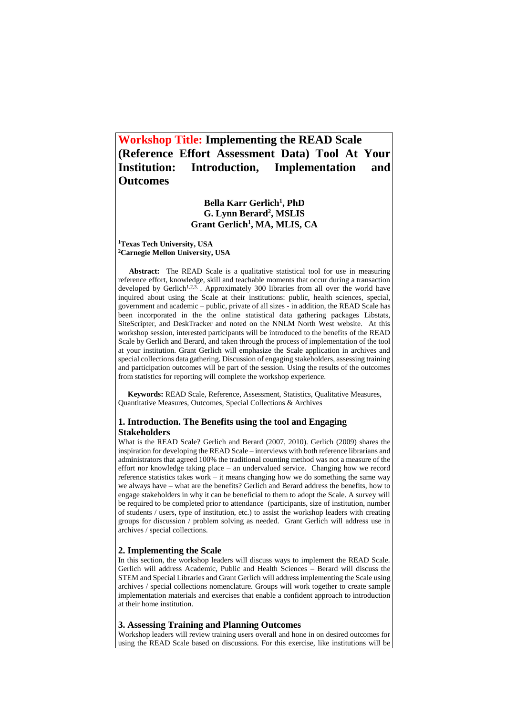# **Workshop Title: Implementing the READ Scale (Reference Effort Assessment Data) Tool At Your Institution: Introduction, Implementation and Outcomes**

## **Bella Karr Gerlich<sup>1</sup> , PhD G. Lynn Berard<sup>2</sup> , MSLIS Grant Gerlich<sup>1</sup> , MA, MLIS, CA**

**<sup>1</sup>Texas Tech University, USA <sup>2</sup>Carnegie Mellon University, USA** 

 **Abstract:** The READ Scale is a qualitative statistical tool for use in measuring reference effort, knowledge, skill and teachable moments that occur during a transaction developed by Gerlich<sup>1,2,3,</sup> Approximately 300 libraries from all over the world have inquired about using the Scale at their institutions: public, health sciences, special, government and academic – public, private of all sizes - in addition, the READ Scale has been incorporated in the the online statistical data gathering packages Libstats, SiteScripter, and DeskTracker and noted on the NNLM North West website. At this workshop session, interested participants will be introduced to the benefits of the READ Scale by Gerlich and Berard, and taken through the process of implementation of the tool at your institution. Grant Gerlich will emphasize the Scale application in archives and special collections data gathering. Discussion of engaging stakeholders, assessing training and participation outcomes will be part of the session. Using the results of the outcomes from statistics for reporting will complete the workshop experience.

 **Keywords:** READ Scale, Reference, Assessment, Statistics, Qualitative Measures, Quantitative Measures, Outcomes, Special Collections & Archives

## **1. Introduction. The Benefits using the tool and Engaging Stakeholders**

What is the READ Scale? Gerlich and Berard (2007, 2010). Gerlich (2009) shares the inspiration for developing the READ Scale – interviews with both reference librarians and administrators that agreed 100% the traditional counting method was not a measure of the effort nor knowledge taking place – an undervalued service. Changing how we record reference statistics takes work – it means changing how we do something the same way we always have – what are the benefits? Gerlich and Berard address the benefits, how to engage stakeholders in why it can be beneficial to them to adopt the Scale. A survey will be required to be completed prior to attendance (participants, size of institution, number of students / users, type of institution, etc.) to assist the workshop leaders with creating groups for discussion / problem solving as needed. Grant Gerlich will address use in archives / special collections.

#### **2. Implementing the Scale**

In this section, the workshop leaders will discuss ways to implement the READ Scale. Gerlich will address Academic, Public and Health Sciences – Berard will discuss the STEM and Special Libraries and Grant Gerlich will address implementing the Scale using archives / special collections nomenclature. Groups will work together to create sample implementation materials and exercises that enable a confident approach to introduction at their home institution.

### **3. Assessing Training and Planning Outcomes**

Workshop leaders will review training users overall and hone in on desired outcomes for using the READ Scale based on discussions. For this exercise, like institutions will be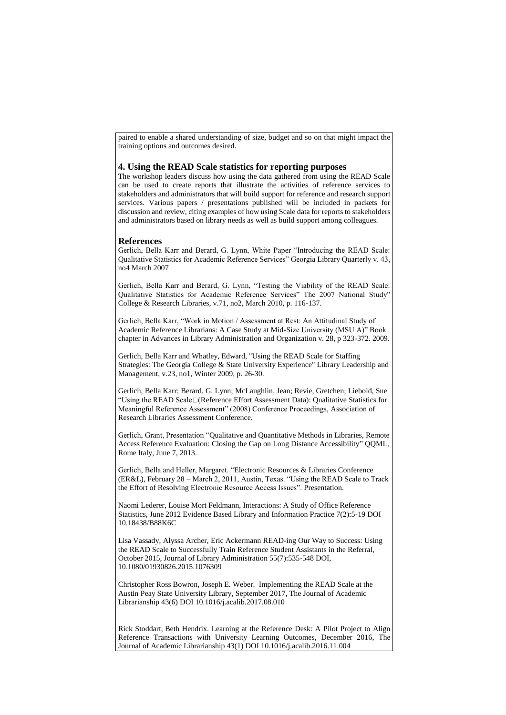paired to enable a shared understanding of size, budget and so on that might impact the training options and outcomes desired.

#### **4. Using the READ Scale statistics for reporting purposes**

The workshop leaders discuss how using the data gathered from using the READ Scale can be used to create reports that illustrate the activities of reference services to stakeholders and administrators that will build support for reference and research support services. Various papers / presentations published will be included in packets for discussion and review, citing examples of how using Scale data for reports to stakeholders and administrators based on library needs as well as build support among colleagues.

#### **References**

Gerlich, Bella Karr and Berard, G. Lynn, White Paper "Introducing the READ Scale: Qualitative Statistics for Academic Reference Services" Georgia Library Quarterly v. 43, no4 March 2007

Gerlich, Bella Karr and Berard, G. Lynn, "Testing the Viability of the READ Scale: Qualitative Statistics for Academic Reference Services" The 2007 National Study" College & Research Libraries, v.71, no2, March 2010, p. 116-137.

Gerlich, Bella Karr, "Work in Motion / Assessment at Rest: An Attitudinal Study of Academic Reference Librarians: A Case Study at Mid-Size University (MSU A)" Book chapter in Advances in Library Administration and Organization v. 28, p 323-372. 2009.

Gerlich, Bella Karr and Whatley, Edward, "Using the READ Scale for Staffing Strategies: The Georgia College & State University Experience" Library Leadership and Management, v.23, no1, Winter 2009, p. 26-30.

Gerlich, Bella Karr; Berard, G. Lynn; McLaughlin, Jean; Revie, Gretchen; Liebold, Sue "Using the READ Scale (Reference Effort Assessment Data): Qualitative Statistics for Meaningful Reference Assessment" (2008) Conference Proceedings, Association of Research Libraries Assessment Conference.

Gerlich, Grant, Presentation "Qualitative and Quantitative Methods in Libraries, Remote Access Reference Evaluation: Closing the Gap on Long Distance Accessibility" OOML, Rome Italy, June 7, 2013.

Gerlich, Bella and Heller, Margaret. "Electronic Resources & Libraries Conference (ER&L), February 28 – March 2, 2011, Austin, Texas. "Using the READ Scale to Track the Effort of Resolving Electronic Resource Access Issues". Presentation.

[Naomi Lederer,](https://www.researchgate.net/profile/Bella_Gerlich/scientific-contributions/2093020747_Naomi_Lederer) [Louise Mort Feldmann,](https://www.researchgate.net/profile/Bella_Gerlich/scientific-contributions/2060003946_Louise_Mort_Feldmann) Interactions: A Study of Office Reference Statistics, June 2012 Evidence Based Library and Information Practice 7(2):5-19 DOI 10.18438/B88K6C

[Lisa Vassady,](https://www.researchgate.net/scientific-contributions/2090422051_Lisa_Vassady) [Alyssa Archer,](https://www.researchgate.net/profile/Alyssa_Archer) [Eric Ackermann](https://www.researchgate.net/scientific-contributions/2081470175_Eric_Ackermann) READ-ing Our Way to Success: Using the READ Scale to Successfully Train Reference Student Assistants in the Referral, October 2015, Journal of Library Administration 55(7):535-548 DOI, 10.1080/01930826.2015.1076309

[Christopher Ross Bowron,](https://www.researchgate.net/profile/Bella_Gerlich/profile/Ross_Bowron) [Joseph E. Weber.](https://www.researchgate.net/profile/Bella_Gerlich/scientific-contributions/2132390096_Joseph_E_Weber) Implementing the READ Scale at the Austin Peay State University Library, September 2017, The Journal of Academic Librarianship 43(6) DOI 10.1016/j.acalib.2017.08.010

[Rick Stoddart,](https://www.researchgate.net/profile/Bella_Gerlich/scientific-contributions/2119697658_Rick_Stoddart) [Beth Hendrix.](https://www.researchgate.net/profile/Bella_Gerlich/profile/Beth_Hendrix2) Learning at the Reference Desk: A Pilot Project to Align Reference Transactions with University Learning Outcomes, December 2016, The Journal of Academic Librarianship 43(1) DOI 10.1016/j.acalib.2016.11.004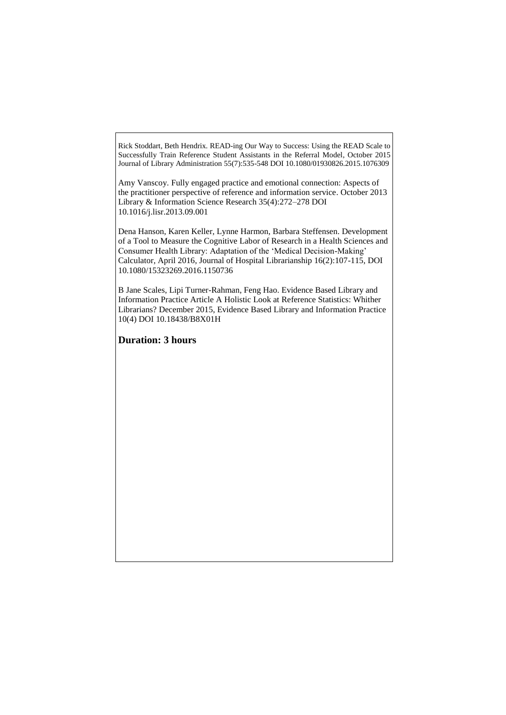[Rick Stoddart,](https://www.researchgate.net/profile/Bella_Gerlich/scientific-contributions/2119697658_Rick_Stoddart) [Beth Hendrix.](https://www.researchgate.net/profile/Bella_Gerlich/profile/Beth_Hendrix2) READ-ing Our Way to Success: Using the READ Scale to Successfully Train Reference Student Assistants in the Referral Model, October 2015 Journal of Library Administration 55(7):535-548 DOI 10.1080/01930826.2015.1076309

Amy Vanscoy. Fully engaged practice and emotional connection: Aspects of the practitioner perspective of reference and information service. October 2013 Library & Information Science Research 35(4):272–278 DOI 10.1016/j.lisr.2013.09.001

[Dena Hanson,](https://www.researchgate.net/profile/Bella_Gerlich/scientific-contributions/2107603010_Dena_Hanson) [Karen Keller,](https://www.researchgate.net/profile/Bella_Gerlich/scientific-contributions/2107596856_Karen_Keller) [Lynne Harmon,](https://www.researchgate.net/profile/Bella_Gerlich/scientific-contributions/2107626564_Lynne_Harmon) [Barbara Steffensen.](https://www.researchgate.net/profile/Bella_Gerlich/scientific-contributions/2107610183_Barbara_Steffensen) Development of a Tool to Measure the Cognitive Labor of Research in a Health Sciences and Consumer Health Library: Adaptation of the 'Medical Decision-Making' Calculator, April 2016, Journal of Hospital Librarianship 16(2):107-115, DOI 10.1080/15323269.2016.1150736

[B Jane Scales,](https://www.researchgate.net/profile/Bella_Gerlich/scientific-contributions/2100675531_B_Jane_Scales) [Lipi Turner-Rahman,](https://www.researchgate.net/profile/Bella_Gerlich/scientific-contributions/2100783977_Lipi_Turner-Rahman) [Feng Hao.](https://www.researchgate.net/profile/Bella_Gerlich/profile/Feng_Hao7) Evidence Based Library and Information Practice Article A Holistic Look at Reference Statistics: Whither Librarians? December 2015, Evidence Based Library and Information Practice 10(4) DOI 10.18438/B8X01H

**Duration: 3 hours**